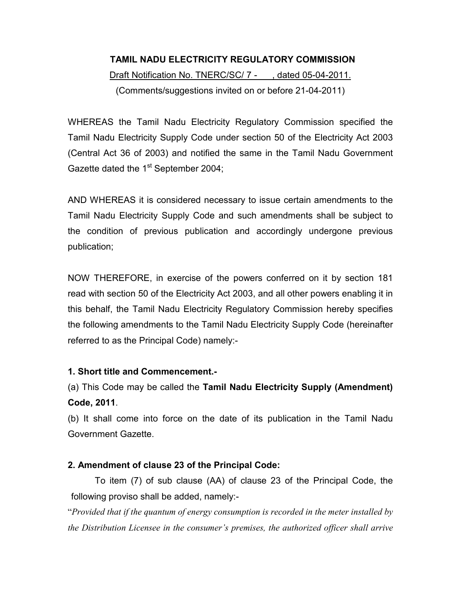# TAMIL NADU ELECTRICITY REGULATORY COMMISSION Draft Notification No. TNERC/SC/ 7 - , dated 05-04-2011. (Comments/suggestions invited on or before 21-04-2011)

WHEREAS the Tamil Nadu Electricity Regulatory Commission specified the Tamil Nadu Electricity Supply Code under section 50 of the Electricity Act 2003 (Central Act 36 of 2003) and notified the same in the Tamil Nadu Government Gazette dated the 1<sup>st</sup> September 2004;

AND WHEREAS it is considered necessary to issue certain amendments to the Tamil Nadu Electricity Supply Code and such amendments shall be subject to the condition of previous publication and accordingly undergone previous publication;

NOW THEREFORE, in exercise of the powers conferred on it by section 181 read with section 50 of the Electricity Act 2003, and all other powers enabling it in this behalf, the Tamil Nadu Electricity Regulatory Commission hereby specifies the following amendments to the Tamil Nadu Electricity Supply Code (hereinafter referred to as the Principal Code) namely:-

# 1. Short title and Commencement.-

(a) This Code may be called the Tamil Nadu Electricity Supply (Amendment) Code, 2011.

(b) It shall come into force on the date of its publication in the Tamil Nadu Government Gazette.

# 2. Amendment of clause 23 of the Principal Code:

To item (7) of sub clause (AA) of clause 23 of the Principal Code, the following proviso shall be added, namely:-

"Provided that if the quantum of energy consumption is recorded in the meter installed by the Distribution Licensee in the consumer's premises, the authorized officer shall arrive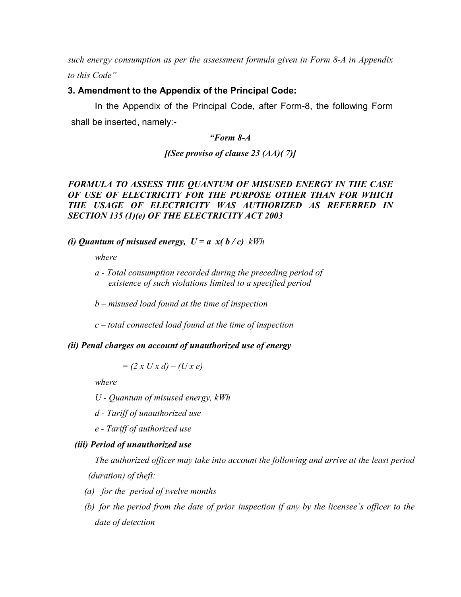such energy consumption as per the assessment formula given in Form 8-A in Appendix to this Code"

#### 3. Amendment to the Appendix of the Principal Code:

In the Appendix of the Principal Code, after Form-8, the following Form shall be inserted, namely:-

#### "Form 8-A

 $[ (See proviso of clause 23 (AA) (7) ]$ 

## FORMULA TO ASSESS THE QUANTUM OF MISUSED ENERGY IN THE CASE OF USE OF ELECTRICITY FOR THE PURPOSE OTHER THAN FOR WHICH THE USAGE OF ELECTRICITY WAS AUTHORIZED AS REFERRED IN SECTION 135 (1)(e) OF THE ELECTRICITY ACT 2003

#### (i) Ouantum of misused energy,  $U = a x(b/c)$  kWh

where

- a Total consumption recorded during the preceding period of existence of such violations limited to a specified period
- $b$  misused load found at the time of inspection
- $c$  total connected load found at the time of inspection

#### (ii) Penal charges on account of unauthorized use of energy

 $= (2 x U x d) - (U x e)$ 

where

U - Quantum of misused energy, kWh

d - Tariff of unauthorized use

e - Tariff of authorized use

### (iii) Period of unauthorized use

The authorized officer may take into account the following and arrive at the least period (duration) of theft:

- (a) for the period of twelve months
- (b) for the period from the date of prior inspection if any by the licensee's officer to the date of detection